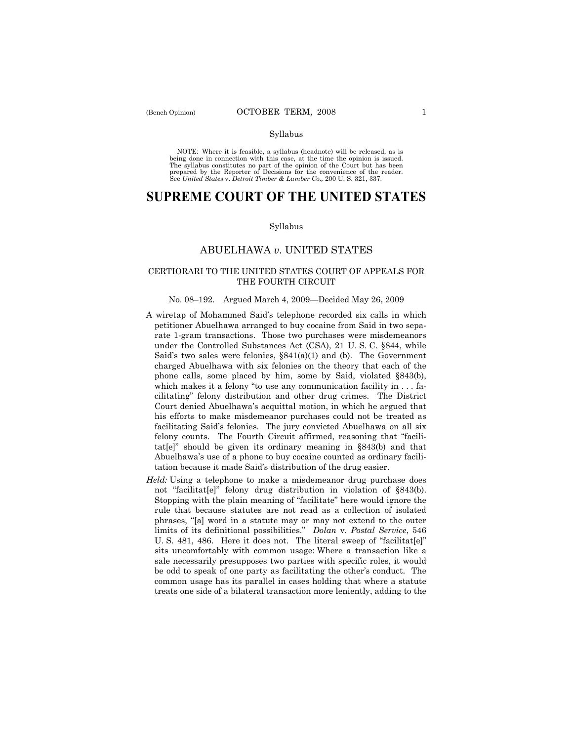## Syllabus

NOTE: Where it is feasible, a syllabus (headnote) will be released, as is being done in connection with this case, at the time the opinion is issued. The syllabus constitutes no part of the opinion of the Court but has been<br>prepared by the Reporter of Decisions for the convenience of the reader.<br>See United States v. Detroit Timber & Lumber Co., 200 U. S. 321, 337.

# **SUPREME COURT OF THE UNITED STATES**

#### Syllabus

## ABUELHAWA *v*. UNITED STATES

## CERTIORARI TO THE UNITED STATES COURT OF APPEALS FOR THE FOURTH CIRCUIT

## No. 08–192. Argued March 4, 2009—Decided May 26, 2009

- A wiretap of Mohammed Said's telephone recorded six calls in which petitioner Abuelhawa arranged to buy cocaine from Said in two separate 1-gram transactions. Those two purchases were misdemeanors under the Controlled Substances Act (CSA), 21 U. S. C. §844, while Said's two sales were felonies, §841(a)(1) and (b). The Government charged Abuelhawa with six felonies on the theory that each of the phone calls, some placed by him, some by Said, violated §843(b), which makes it a felony "to use any communication facility in . . . facilitating" felony distribution and other drug crimes. The District Court denied Abuelhawa's acquittal motion, in which he argued that his efforts to make misdemeanor purchases could not be treated as facilitating Said's felonies. The jury convicted Abuelhawa on all six felony counts. The Fourth Circuit affirmed, reasoning that "facilitat[e]" should be given its ordinary meaning in §843(b) and that Abuelhawa's use of a phone to buy cocaine counted as ordinary facilitation because it made Said's distribution of the drug easier.
- *Held:* Using a telephone to make a misdemeanor drug purchase does not "facilitat[e]" felony drug distribution in violation of §843(b). Stopping with the plain meaning of "facilitate" here would ignore the rule that because statutes are not read as a collection of isolated phrases, "[a] word in a statute may or may not extend to the outer limits of its definitional possibilities." *Dolan* v. *Postal Service*, 546 U. S. 481, 486. Here it does not. The literal sweep of "facilitat[e]" sits uncomfortably with common usage: Where a transaction like a sale necessarily presupposes two parties with specific roles, it would be odd to speak of one party as facilitating the other's conduct. The common usage has its parallel in cases holding that where a statute treats one side of a bilateral transaction more leniently, adding to the